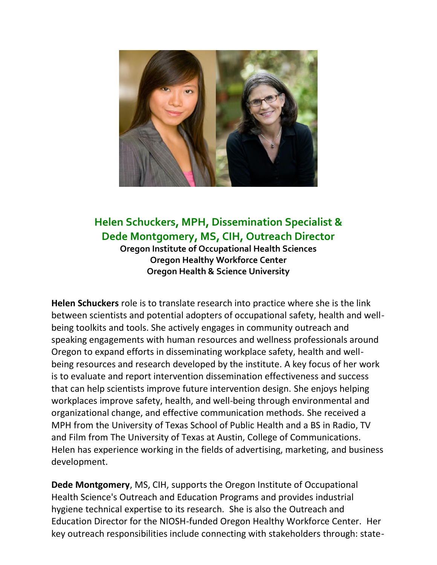

## **Helen Schuckers, MPH, Dissemination Specialist & Dede Montgomery, MS, CIH, Outreach Director**

**Oregon Institute of Occupational Health Sciences Oregon Healthy Workforce Center Oregon Health & Science University**

**Helen Schuckers** role is to translate research into practice where she is the link between scientists and potential adopters of occupational safety, health and wellbeing toolkits and tools. She actively engages in community outreach and speaking engagements with human resources and wellness professionals around Oregon to expand efforts in disseminating workplace safety, health and wellbeing resources and research developed by the institute. A key focus of her work is to evaluate and report intervention dissemination effectiveness and success that can help scientists improve future intervention design. She enjoys helping workplaces improve safety, health, and well-being through environmental and organizational change, and effective communication methods. She received a MPH from the University of Texas School of Public Health and a BS in Radio, TV and Film from The University of Texas at Austin, College of Communications. Helen has experience working in the fields of advertising, marketing, and business development.

**Dede Montgomery**, MS, CIH, supports the Oregon Institute of Occupational Health Science's Outreach and Education Programs and provides industrial hygiene technical expertise to its research. She is also the Outreach and Education Director for the NIOSH-funded Oregon Healthy Workforce Center. Her key outreach responsibilities include connecting with stakeholders through: state